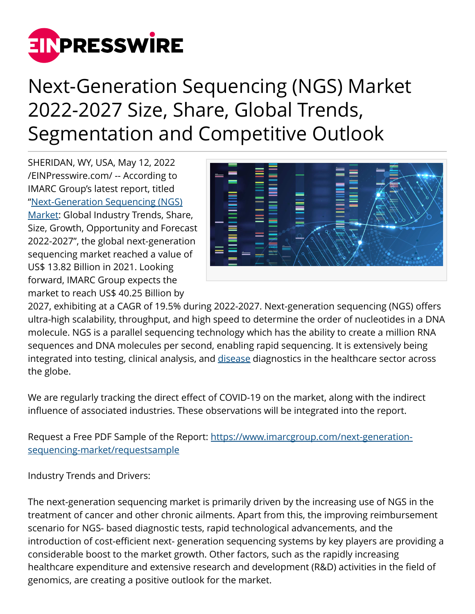

## Next-Generation Sequencing (NGS) Market 2022-2027 Size, Share, Global Trends, Segmentation and Competitive Outlook

SHERIDAN, WY, USA, May 12, 2022 [/EINPresswire.com/](http://www.einpresswire.com) -- According to IMARC Group's latest report, titled ["Next-Generation Sequencing \(NGS\)](https://www.imarcgroup.com/next-generation-sequencing-market) [Market](https://www.imarcgroup.com/next-generation-sequencing-market): Global Industry Trends, Share, Size, Growth, Opportunity and Forecast 2022-2027", the global next-generation sequencing market reached a value of US\$ 13.82 Billion in 2021. Looking forward, IMARC Group expects the market to reach US\$ 40.25 Billion by



2027, exhibiting at a CAGR of 19.5% during 2022-2027. Next-generation sequencing (NGS) offers ultra-high scalability, throughput, and high speed to determine the order of nucleotides in a DNA molecule. NGS is a parallel sequencing technology which has the ability to create a million RNA sequences and DNA molecules per second, enabling rapid sequencing. It is extensively being integrated into testing, clinical analysis, and [disease](https://www.imarcgroup.com/parkinsons-disease-treatment-market) diagnostics in the healthcare sector across the globe.

We are regularly tracking the direct effect of COVID-19 on the market, along with the indirect influence of associated industries. These observations will be integrated into the report.

Request a Free PDF Sample of the Report: [https://www.imarcgroup.com/next-generation](https://www.imarcgroup.com/next-generation-sequencing-market/requestsample)[sequencing-market/requestsample](https://www.imarcgroup.com/next-generation-sequencing-market/requestsample)

Industry Trends and Drivers:

The next-generation sequencing market is primarily driven by the increasing use of NGS in the treatment of cancer and other chronic ailments. Apart from this, the improving reimbursement scenario for NGS- based diagnostic tests, rapid technological advancements, and the introduction of cost-efficient next- generation sequencing systems by key players are providing a considerable boost to the market growth. Other factors, such as the rapidly increasing healthcare expenditure and extensive research and development (R&D) activities in the field of genomics, are creating a positive outlook for the market.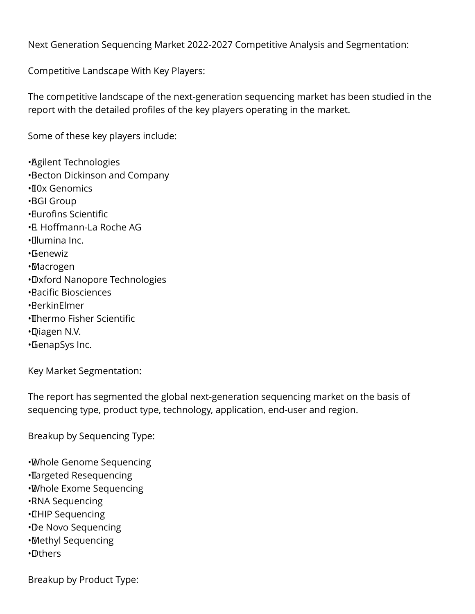Next Generation Sequencing Market 2022-2027 Competitive Analysis and Segmentation:

Competitive Landscape With Key Players:

The competitive landscape of the next-generation sequencing market has been studied in the report with the detailed profiles of the key players operating in the market.

Some of these key players include:

• Agilent Technologies • Becton Dickinson and Company • 10x Genomics • BGI Group • Eurofins Scientific • F. Hoffmann-La Roche AG • Illumina Inc. • Genewiz • Macrogen • Oxford Nanopore Technologies • Pacific Biosciences • PerkinElmer • Thermo Fisher Scientific • Qiagen N.V. • GenapSys Inc.

Key Market Segmentation:

The report has segmented the global next-generation sequencing market on the basis of sequencing type, product type, technology, application, end-user and region.

Breakup by Sequencing Type:

- • Whole Genome Sequencing
- • Targeted Resequencing
- • Whole Exome Sequencing
- • RNA Sequencing
- • CHIP Sequencing
- • De Novo Sequencing
- • Methyl Sequencing
- • Others

Breakup by Product Type: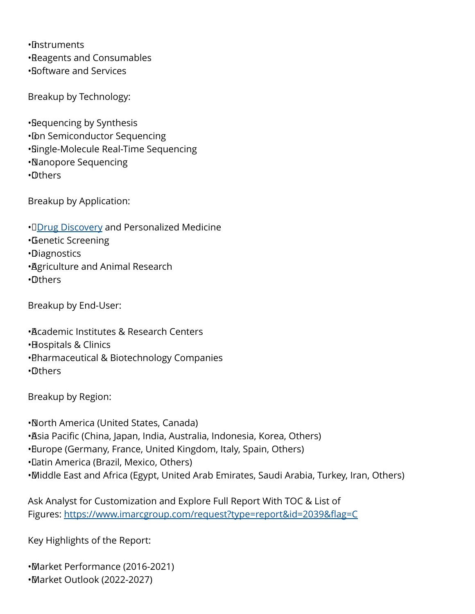• Instruments • Reagents and Consumables • Software and Services

Breakup by Technology:

• Sequencing by Synthesis

• Ibn Semiconductor Sequencing

• Single-Molecule Real-Time Sequencing

• Nanopore Sequencing

• Others

Breakup by Application:

• D[Drug Discovery](https://www.imarcgroup.com/drug-discovery-informatics-market) and Personalized Medicine

• Genetic Screening

• Diagnostics

• Agriculture and Animal Research

• Others

Breakup by End-User:

• Academic Institutes & Research Centers

• Hospitals & Clinics

• Pharmaceutical & Biotechnology Companies

• Others

Breakup by Region:

• North America (United States, Canada)

• Asia Pacific (China, Japan, India, Australia, Indonesia, Korea, Others)

• Europe (Germany, France, United Kingdom, Italy, Spain, Others)

• Latin America (Brazil, Mexico, Others)

• Middle East and Africa (Egypt, United Arab Emirates, Saudi Arabia, Turkey, Iran, Others)

Ask Analyst for Customization and Explore Full Report With TOC & List of Figures: <https://www.imarcgroup.com/request?type=report&id=2039&flag=C>

Key Highlights of the Report:

• Market Performance (2016-2021) • Market Outlook (2022-2027)